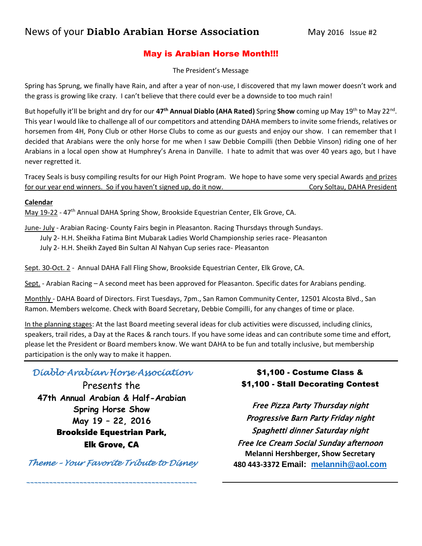### May is Arabian Horse Month!!!

The President's Message

Spring has Sprung, we finally have Rain, and after a year of non-use, I discovered that my lawn mower doesn't work and the grass is growing like crazy. I can't believe that there could ever be a downside to too much rain!

But hopefully it'll be bright and dry for our **47th Annual Diablo (AHA Rated)** Spring **Show** coming up May 19th to May 22nd . This year I would like to challenge all of our competitors and attending DAHA members to invite some friends, relatives or horsemen from 4H, Pony Club or other Horse Clubs to come as our guests and enjoy our show. I can remember that I decided that Arabians were the only horse for me when I saw Debbie Compilli (then Debbie Vinson) riding one of her Arabians in a local open show at Humphrey's Arena in Danville. I hate to admit that was over 40 years ago, but I have never regretted it.

Tracey Seals is busy compiling results for our High Point Program. We hope to have some very special Awards and prizes for our year end winners. So if you haven't signed up, do it now. Correct the Cory Soltau, DAHA President

### **Calendar**

May 19-22 - 47<sup>th</sup> Annual DAHA Spring Show, Brookside Equestrian Center, Elk Grove, CA.

June- July - Arabian Racing- County Fairs begin in Pleasanton. Racing Thursdays through Sundays.

July 2- H.H. Sheikha Fatima Bint Mubarak Ladies World Championship series race- Pleasanton

July 2- H.H. Sheikh Zayed Bin Sultan Al Nahyan Cup series race- Pleasanton

Sept. 30-Oct. 2 - Annual DAHA Fall Fling Show, Brookside Equestrian Center, Elk Grove, CA.

Sept. - Arabian Racing – A second meet has been approved for Pleasanton. Specific dates for Arabians pending.

Monthly - DAHA Board of Directors. First Tuesdays, 7pm., San Ramon Community Center, 12501 Alcosta Blvd., San Ramon. Members welcome. Check with Board Secretary, Debbie Compilli, for any changes of time or place.

In the planning stages: At the last Board meeting several ideas for club activities were discussed, including clinics, speakers, trail rides, a Day at the Races & ranch tours. If you have some ideas and can contribute some time and effort, please let the President or Board members know. We want DAHA to be fun and totally inclusive, but membership participation is the only way to make it happen.

# *Diablo Arabian Horse Association*

Presents the **47th Annual Arabian & Half-Arabian Spring Horse Show May 19 – 22, 2016** Brookside Equestrian Park, Elk Grove, CA

*Theme – Your Favorite Tribute to Disney* 

*\_\_\_\_\_\_\_\_\_\_\_\_\_\_\_\_\_\_\_\_\_\_\_\_\_\_\_\_\_\_\_\_\_\_\_\_\_\_\_\_\_\_\_\_\_* 

### \$1,100 - Costume Class & \$1,100 - Stall Decorating Contest

Free Pizza Party Thursday night Progressive Barn Party Friday night Spaghetti dinner Saturday night Free Ice Cream Social Sunday afternoon **Melanni Hershberger, Show Secretary 480 443-3372 Email: [melannih@aol.com](mailto:melannih@aol.com)**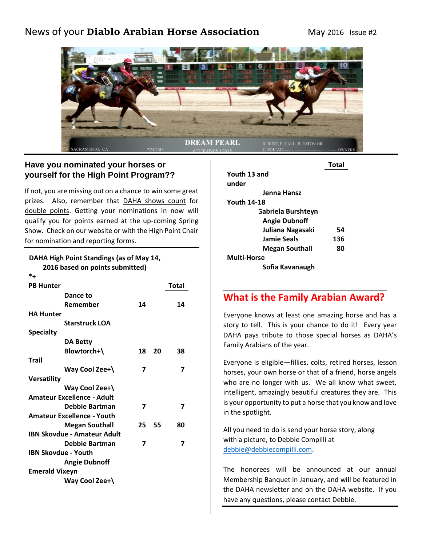# News of your **Diablo Arabian Horse Association** May 2016 Issue #2



### **Have you nominated your horses or yourself for the High Point Program??**

If not, you are missing out on a chance to win some great prizes. Also, remember that DAHA shows count for double points. Getting your nominations in now will qualify you for points earned at the up-coming Spring Show. Check on our website or with the High Point Chair for nomination and reporting forms.

#### **DAHA High Point Standings (as of May 14, 2016 based on points submitted)**

| $*$ +                              |                |    |              |
|------------------------------------|----------------|----|--------------|
| <b>PB Hunter</b>                   |                |    | <b>Total</b> |
| Dance to                           |                |    |              |
| Remember                           | 14             |    | 14           |
| <b>HA Hunter</b>                   |                |    |              |
| <b>Starstruck LOA</b>              |                |    |              |
| <b>Specialty</b>                   |                |    |              |
| <b>DA Betty</b>                    |                |    |              |
| Blowtorch+\                        | 18             | 20 | 38           |
| Trail                              |                |    |              |
| Way Cool Zee+\                     | 7              |    | 7            |
| <b>Versatility</b>                 |                |    |              |
| Way Cool Zee+\                     |                |    |              |
| <b>Amateur Excellence - Adult</b>  |                |    |              |
| <b>Debbie Bartman</b>              | $\overline{7}$ |    | 7            |
| <b>Amateur Excellence - Youth</b>  |                |    |              |
| <b>Megan Southall</b>              | 25             | 55 | 80           |
| <b>IBN Skovdue - Amateur Adult</b> |                |    |              |
| Debbie Bartman                     | 7              |    | 7            |
| <b>IBN Skovdue - Youth</b>         |                |    |              |
| <b>Angie Dubnoff</b>               |                |    |              |
| <b>Emerald Vixeyn</b>              |                |    |              |
| Way Cool Zee+\                     |                |    |              |
|                                    |                |    |              |

|                           | Total |
|---------------------------|-------|
| Youth 13 and              |       |
| under                     |       |
| Jenna Hansz               |       |
| <b>Youth 14-18</b>        |       |
| <b>Gabriela Burshteyn</b> |       |
| <b>Angie Dubnoff</b>      |       |
| Juliana Nagasaki          | 54    |
| Jamie Seals               | 136   |
| <b>Megan Southall</b>     | 80    |
| Multi-Horse               |       |
| Sofia Kavanaugh           |       |

# **What is the Family Arabian Award?**

Everyone knows at least one amazing horse and has a story to tell. This is your chance to do it! Every year DAHA pays tribute to those special horses as DAHA's Family Arabians of the year.

Everyone is eligible—fillies, colts, retired horses, lesson horses, your own horse or that of a friend, horse angels who are no longer with us. We all know what sweet, intelligent, amazingly beautiful creatures they are. This is your opportunity to put a horse that you know and love in the spotlight.

All you need to do is send your horse story, along with a picture, to Debbie Compilli at [debbie@debbiecompilli.com.](mailto:debbie@debbiecompilli.com)

The honorees will be announced at our annual Membership Banquet in January, and will be featured in the DAHA newsletter and on the DAHA website. If you have any questions, please contact Debbie.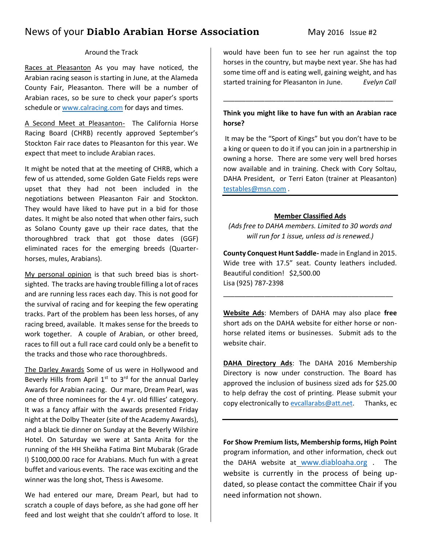# News of your **Diablo Arabian Horse Association** May 2016 Issue #2

#### Around the Track

Races at Pleasanton As you may have noticed, the Arabian racing season is starting in June, at the Alameda County Fair, Pleasanton. There will be a number of Arabian races, so be sure to check your paper's sports schedule or [www.calracing.com](http://www.calracing.com/) for days and times.

A Second Meet at Pleasanton- The California Horse Racing Board (CHRB) recently approved September's Stockton Fair race dates to Pleasanton for this year. We expect that meet to include Arabian races.

It might be noted that at the meeting of CHRB, which a few of us attended, some Golden Gate Fields reps were upset that they had not been included in the negotiations between Pleasanton Fair and Stockton. They would have liked to have put in a bid for those dates. It might be also noted that when other fairs, such as Solano County gave up their race dates, that the thoroughbred track that got those dates (GGF) eliminated races for the emerging breeds (Quarterhorses, mules, Arabians).

My personal opinion is that such breed bias is shortsighted. The tracks are having trouble filling a lot of races and are running less races each day. This is not good for the survival of racing and for keeping the few operating tracks. Part of the problem has been less horses, of any racing breed, available. It makes sense for the breeds to work together. A couple of Arabian, or other breed, races to fill out a full race card could only be a benefit to the tracks and those who race thoroughbreds.

The Darley Awards Some of us were in Hollywood and Beverly Hills from April  $1<sup>st</sup>$  to  $3<sup>rd</sup>$  for the annual Darley Awards for Arabian racing. Our mare, Dream Pearl, was one of three nominees for the 4 yr. oId fillies' category. It was a fancy affair with the awards presented Friday night at the Dolby Theater (site of the Academy Awards), and a black tie dinner on Sunday at the Beverly Wilshire Hotel. On Saturday we were at Santa Anita for the running of the HH Sheikha Fatima Bint Mubarak (Grade I) \$100,000.00 race for Arabians. Much fun with a great buffet and various events. The race was exciting and the winner was the long shot, Thess is Awesome.

We had entered our mare, Dream Pearl, but had to scratch a couple of days before, as she had gone off her feed and lost weight that she couldn't afford to lose. It would have been fun to see her run against the top horses in the country, but maybe next year. She has had some time off and is eating well, gaining weight, and has started training for Pleasanton in June. *Evelyn Call* 

### **Think you might like to have fun with an Arabian race horse?**

\_\_\_\_\_\_\_\_\_\_\_\_\_\_\_\_\_\_\_\_\_\_\_\_\_\_\_\_\_\_\_\_\_\_\_\_\_\_\_\_\_\_\_\_\_

It may be the "Sport of Kings" but you don't have to be a king or queen to do it if you can join in a partnership in owning a horse. There are some very well bred horses now available and in training. Check with Cory Soltau, DAHA President, or Terri Eaton (trainer at Pleasanton) [testables@msn.com](mailto:testables@msn.com) .

### **Member Classified Ads**

*(Ads free to DAHA members. Limited to 30 words and will run for 1 issue, unless ad is renewed.)*

**County Conquest Hunt Saddle-** made in England in 2015. Wide tree with 17.5" seat. County leathers included. Beautiful condition! \$2,500.00 Lisa (925) 787-2398

\_\_\_\_\_\_\_\_\_\_\_\_\_\_\_\_\_\_\_\_\_\_\_\_\_\_\_\_\_\_\_\_\_\_\_\_\_\_\_\_\_\_\_\_\_

**Website Ads**: Members of DAHA may also place **free** short ads on the DAHA website for either horse or nonhorse related items or businesses. Submit ads to the website chair.

**DAHA Directory Ads**: The DAHA 2016 Membership Directory is now under construction. The Board has approved the inclusion of business sized ads for \$25.00 to help defray the cost of printing. Please submit your copy electronically t[o evcallarabs@att.net.](mailto:evcallarabs@att.net) Thanks, ec

**For Show Premium lists, Membership forms, High Point** program information, and other information, check out the DAHA website at [www.diabloaha.org](http://www.diabloaha.org/) . The website is currently in the process of being updated, so please contact the committee Chair if you need information not shown.